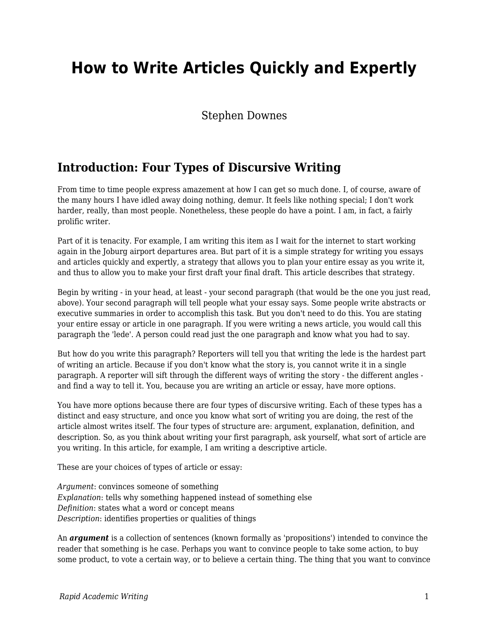# **How to Write Articles Quickly and Expertly**

#### Stephen Downes

### **Introduction: Four Types of Discursive Writing**

From time to time people express amazement at how I can get so much done. I, of course, aware of the many hours I have idled away doing nothing, demur. It feels like nothing special; I don't work harder, really, than most people. Nonetheless, these people do have a point. I am, in fact, a fairly prolific writer.

Part of it is tenacity. For example, I am writing this item as I wait for the internet to start working again in the Joburg airport departures area. But part of it is a simple strategy for writing you essays and articles quickly and expertly, a strategy that allows you to plan your entire essay as you write it, and thus to allow you to make your first draft your final draft. This article describes that strategy.

Begin by writing - in your head, at least - your second paragraph (that would be the one you just read, above). Your second paragraph will tell people what your essay says. Some people write abstracts or executive summaries in order to accomplish this task. But you don't need to do this. You are stating your entire essay or article in one paragraph. If you were writing a news article, you would call this paragraph the 'lede'. A person could read just the one paragraph and know what you had to say.

But how do you write this paragraph? Reporters will tell you that writing the lede is the hardest part of writing an article. Because if you don't know what the story is, you cannot write it in a single paragraph. A reporter will sift through the different ways of writing the story - the different angles and find a way to tell it. You, because you are writing an article or essay, have more options.

You have more options because there are four types of discursive writing. Each of these types has a distinct and easy structure, and once you know what sort of writing you are doing, the rest of the article almost writes itself. The four types of structure are: argument, explanation, definition, and description. So, as you think about writing your first paragraph, ask yourself, what sort of article are you writing. In this article, for example, I am writing a descriptive article.

These are your choices of types of article or essay:

*Argument*: convinces someone of something *Explanation*: tells why something happened instead of something else *Definition*: states what a word or concept means *Description*: identifies properties or qualities of things

An *argument* is a collection of sentences (known formally as 'propositions') intended to convince the reader that something is he case. Perhaps you want to convince people to take some action, to buy some product, to vote a certain way, or to believe a certain thing. The thing that you want to convince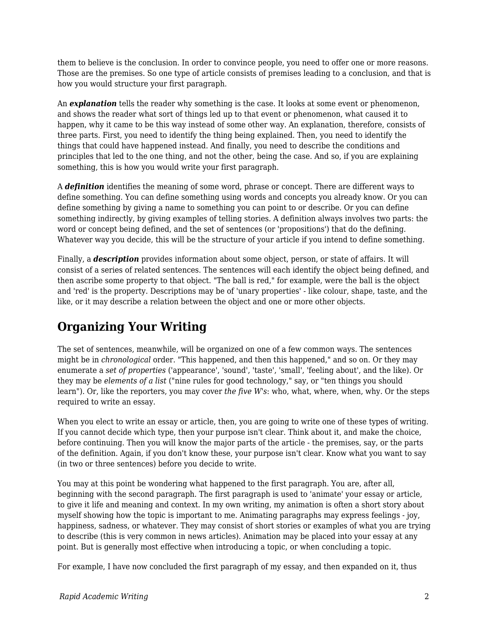them to believe is the conclusion. In order to convince people, you need to offer one or more reasons. Those are the premises. So one type of article consists of premises leading to a conclusion, and that is how you would structure your first paragraph.

An *explanation* tells the reader why something is the case. It looks at some event or phenomenon, and shows the reader what sort of things led up to that event or phenomenon, what caused it to happen, why it came to be this way instead of some other way. An explanation, therefore, consists of three parts. First, you need to identify the thing being explained. Then, you need to identify the things that could have happened instead. And finally, you need to describe the conditions and principles that led to the one thing, and not the other, being the case. And so, if you are explaining something, this is how you would write your first paragraph.

A *definition* identifies the meaning of some word, phrase or concept. There are different ways to define something. You can define something using words and concepts you already know. Or you can define something by giving a name to something you can point to or describe. Or you can define something indirectly, by giving examples of telling stories. A definition always involves two parts: the word or concept being defined, and the set of sentences (or 'propositions') that do the defining. Whatever way you decide, this will be the structure of your article if you intend to define something.

Finally, a *description* provides information about some object, person, or state of affairs. It will consist of a series of related sentences. The sentences will each identify the object being defined, and then ascribe some property to that object. "The ball is red," for example, were the ball is the object and 'red' is the property. Descriptions may be of 'unary properties' - like colour, shape, taste, and the like, or it may describe a relation between the object and one or more other objects.

## **Organizing Your Writing**

The set of sentences, meanwhile, will be organized on one of a few common ways. The sentences might be in *chronological* order. "This happened, and then this happened," and so on. Or they may enumerate a *set of properties* ('appearance', 'sound', 'taste', 'small', 'feeling about', and the like). Or they may be *elements of a list* ("nine rules for good technology," say, or "ten things you should learn"). Or, like the reporters, you may cover *the five W's*: who, what, where, when, why. Or the steps required to write an essay.

When you elect to write an essay or article, then, you are going to write one of these types of writing. If you cannot decide which type, then your purpose isn't clear. Think about it, and make the choice, before continuing. Then you will know the major parts of the article - the premises, say, or the parts of the definition. Again, if you don't know these, your purpose isn't clear. Know what you want to say (in two or three sentences) before you decide to write.

You may at this point be wondering what happened to the first paragraph. You are, after all, beginning with the second paragraph. The first paragraph is used to 'animate' your essay or article, to give it life and meaning and context. In my own writing, my animation is often a short story about myself showing how the topic is important to me. Animating paragraphs may express feelings - joy, happiness, sadness, or whatever. They may consist of short stories or examples of what you are trying to describe (this is very common in news articles). Animation may be placed into your essay at any point. But is generally most effective when introducing a topic, or when concluding a topic.

For example, I have now concluded the first paragraph of my essay, and then expanded on it, thus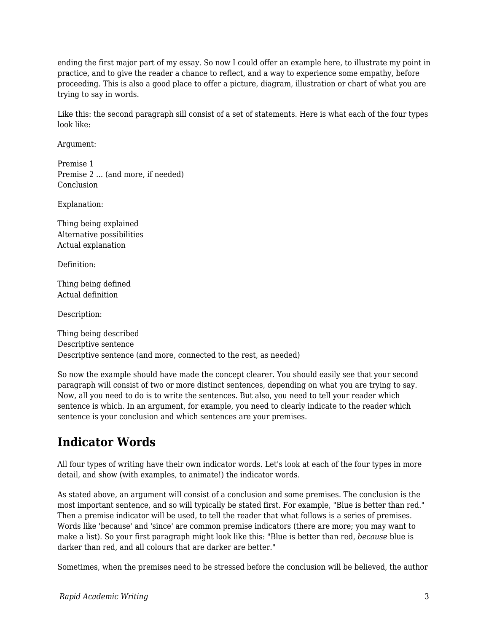ending the first major part of my essay. So now I could offer an example here, to illustrate my point in practice, and to give the reader a chance to reflect, and a way to experience some empathy, before proceeding. This is also a good place to offer a picture, diagram, illustration or chart of what you are trying to say in words.

Like this: the second paragraph sill consist of a set of statements. Here is what each of the four types look like:

Argument:

Premise 1 Premise 2 ... (and more, if needed) Conclusion

Explanation:

Thing being explained Alternative possibilities Actual explanation

Definition:

Thing being defined Actual definition

Description:

Thing being described Descriptive sentence Descriptive sentence (and more, connected to the rest, as needed)

So now the example should have made the concept clearer. You should easily see that your second paragraph will consist of two or more distinct sentences, depending on what you are trying to say. Now, all you need to do is to write the sentences. But also, you need to tell your reader which sentence is which. In an argument, for example, you need to clearly indicate to the reader which sentence is your conclusion and which sentences are your premises.

## **Indicator Words**

All four types of writing have their own indicator words. Let's look at each of the four types in more detail, and show (with examples, to animate!) the indicator words.

As stated above, an argument will consist of a conclusion and some premises. The conclusion is the most important sentence, and so will typically be stated first. For example, "Blue is better than red." Then a premise indicator will be used, to tell the reader that what follows is a series of premises. Words like 'because' and 'since' are common premise indicators (there are more; you may want to make a list). So your first paragraph might look like this: "Blue is better than red, *because* blue is darker than red, and all colours that are darker are better."

Sometimes, when the premises need to be stressed before the conclusion will be believed, the author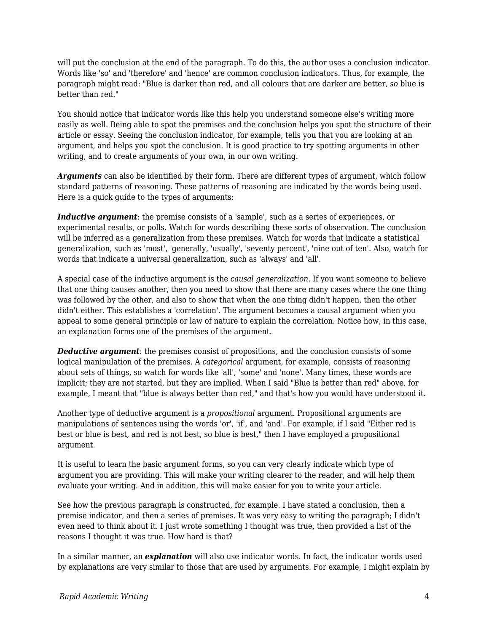will put the conclusion at the end of the paragraph. To do this, the author uses a conclusion indicator. Words like 'so' and 'therefore' and 'hence' are common conclusion indicators. Thus, for example, the paragraph might read: "Blue is darker than red, and all colours that are darker are better, *so* blue is better than red."

You should notice that indicator words like this help you understand someone else's writing more easily as well. Being able to spot the premises and the conclusion helps you spot the structure of their article or essay. Seeing the conclusion indicator, for example, tells you that you are looking at an argument, and helps you spot the conclusion. It is good practice to try spotting arguments in other writing, and to create arguments of your own, in our own writing.

*Arguments* can also be identified by their form. There are different types of argument, which follow standard patterns of reasoning. These patterns of reasoning are indicated by the words being used. Here is a quick guide to the types of arguments:

*Inductive argument*: the premise consists of a 'sample', such as a series of experiences, or experimental results, or polls. Watch for words describing these sorts of observation. The conclusion will be inferred as a generalization from these premises. Watch for words that indicate a statistical generalization, such as 'most', 'generally, 'usually', 'seventy percent', 'nine out of ten'. Also, watch for words that indicate a universal generalization, such as 'always' and 'all'.

A special case of the inductive argument is the *causal generalization*. If you want someone to believe that one thing causes another, then you need to show that there are many cases where the one thing was followed by the other, and also to show that when the one thing didn't happen, then the other didn't either. This establishes a 'correlation'. The argument becomes a causal argument when you appeal to some general principle or law of nature to explain the correlation. Notice how, in this case, an explanation forms one of the premises of the argument.

**Deductive argument**: the premises consist of propositions, and the conclusion consists of some logical manipulation of the premises. A *categorical* argument, for example, consists of reasoning about sets of things, so watch for words like 'all', 'some' and 'none'. Many times, these words are implicit; they are not started, but they are implied. When I said "Blue is better than red" above, for example, I meant that "blue is always better than red," and that's how you would have understood it.

Another type of deductive argument is a *propositional* argument. Propositional arguments are manipulations of sentences using the words 'or', 'if', and 'and'. For example, if I said "Either red is best or blue is best, and red is not best, so blue is best," then I have employed a propositional argument.

It is useful to learn the basic argument forms, so you can very clearly indicate which type of argument you are providing. This will make your writing clearer to the reader, and will help them evaluate your writing. And in addition, this will make easier for you to write your article.

See how the previous paragraph is constructed, for example. I have stated a conclusion, then a premise indicator, and then a series of premises. It was very easy to writing the paragraph; I didn't even need to think about it. I just wrote something I thought was true, then provided a list of the reasons I thought it was true. How hard is that?

In a similar manner, an *explanation* will also use indicator words. In fact, the indicator words used by explanations are very similar to those that are used by arguments. For example, I might explain by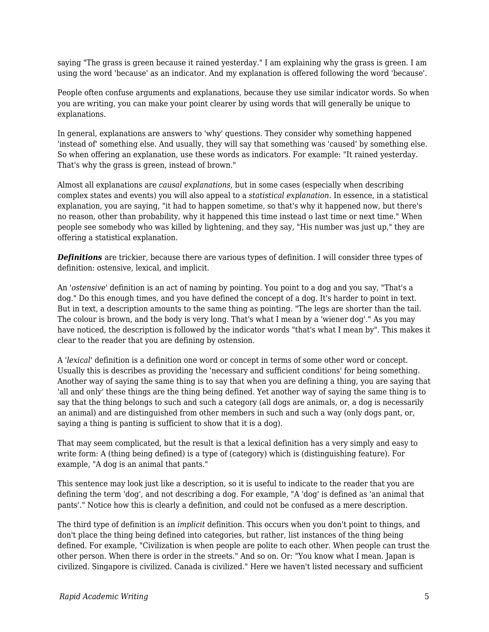saying "The grass is green because it rained yesterday." I am explaining why the grass is green. I am using the word 'because' as an indicator. And my explanation is offered following the word 'because'.

People often confuse arguments and explanations, because they use similar indicator words. So when you are writing, you can make your point clearer by using words that will generally be unique to explanations.

In general, explanations are answers to 'why' questions. They consider why something happened 'instead of' something else. And usually, they will say that something was 'caused' by something else. So when offering an explanation, use these words as indicators. For example: "It rained yesterday. That's why the grass is green, instead of brown."

Almost all explanations are *causal explanations,* but in some cases (especially when describing complex states and events) you will also appeal to a *statistical explanation*. In essence, in a statistical explanation, you are saying, "it had to happen sometime, so that's why it happened now, but there's no reason, other than probability, why it happened this time instead o last time or next time." When people see somebody who was killed by lightening, and they say, "His number was just up," they are offering a statistical explanation.

**Definitions** are trickier, because there are various types of definition. I will consider three types of definition: ostensive, lexical, and implicit.

An '*ostensive*' definition is an act of naming by pointing. You point to a dog and you say, "That's a dog." Do this enough times, and you have defined the concept of a dog. It's harder to point in text. But in text, a description amounts to the same thing as pointing. "The legs are shorter than the tail. The colour is brown, and the body is very long. That's what I mean by a 'wiener dog'." As you may have noticed, the description is followed by the indicator words "that's what I mean by". This makes it clear to the reader that you are defining by ostension.

A '*lexical*' definition is a definition one word or concept in terms of some other word or concept. Usually this is describes as providing the 'necessary and sufficient conditions' for being something. Another way of saying the same thing is to say that when you are defining a thing, you are saying that 'all and only' these things are the thing being defined. Yet another way of saying the same thing is to say that the thing belongs to such and such a category (all dogs are animals, or, a dog is necessarily an animal) and are distinguished from other members in such and such a way (only dogs pant, or, saying a thing is panting is sufficient to show that it is a dog).

That may seem complicated, but the result is that a lexical definition has a very simply and easy to write form: A (thing being defined) is a type of (category) which is (distinguishing feature). For example, "A dog is an animal that pants."

This sentence may look just like a description, so it is useful to indicate to the reader that you are defining the term 'dog', and not describing a dog. For example, "A 'dog' is defined as 'an animal that pants'." Notice how this is clearly a definition, and could not be confused as a mere description.

The third type of definition is an *implicit* definition. This occurs when you don't point to things, and don't place the thing being defined into categories, but rather, list instances of the thing being defined. For example, "Civilization is when people are polite to each other. When people can trust the other person. When there is order in the streets." And so on. Or: "You know what I mean. Japan is civilized. Singapore is civilized. Canada is civilized." Here we haven't listed necessary and sufficient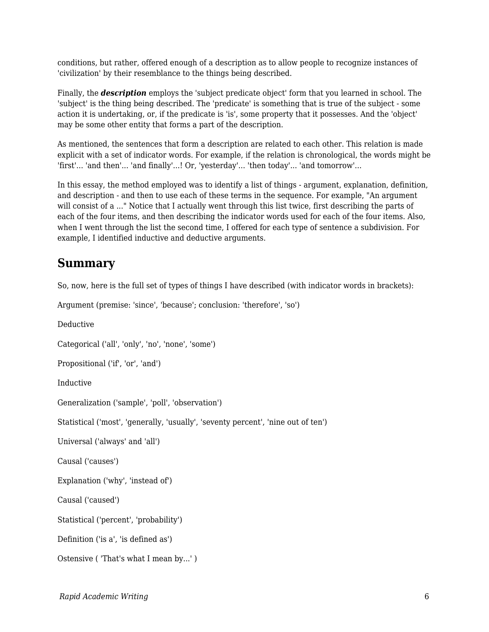conditions, but rather, offered enough of a description as to allow people to recognize instances of 'civilization' by their resemblance to the things being described.

Finally, the *description* employs the 'subject predicate object' form that you learned in school. The 'subject' is the thing being described. The 'predicate' is something that is true of the subject - some action it is undertaking, or, if the predicate is 'is', some property that it possesses. And the 'object' may be some other entity that forms a part of the description.

As mentioned, the sentences that form a description are related to each other. This relation is made explicit with a set of indicator words. For example, if the relation is chronological, the words might be 'first'... 'and then'... 'and finally'...! Or, 'yesterday'... 'then today'... 'and tomorrow'...

In this essay, the method employed was to identify a list of things - argument, explanation, definition, and description - and then to use each of these terms in the sequence. For example, "An argument will consist of a ..." Notice that I actually went through this list twice, first describing the parts of each of the four items, and then describing the indicator words used for each of the four items. Also, when I went through the list the second time, I offered for each type of sentence a subdivision. For example, I identified inductive and deductive arguments.

#### **Summary**

So, now, here is the full set of types of things I have described (with indicator words in brackets):

Argument (premise: 'since', 'because'; conclusion: 'therefore', 'so')

Deductive

Categorical ('all', 'only', 'no', 'none', 'some')

Propositional ('if', 'or', 'and')

Inductive

Generalization ('sample', 'poll', 'observation')

Statistical ('most', 'generally, 'usually', 'seventy percent', 'nine out of ten')

Universal ('always' and 'all')

Causal ('causes')

Explanation ('why', 'instead of')

Causal ('caused')

Statistical ('percent', 'probability')

Definition ('is a', 'is defined as')

Ostensive ( 'That's what I mean by...' )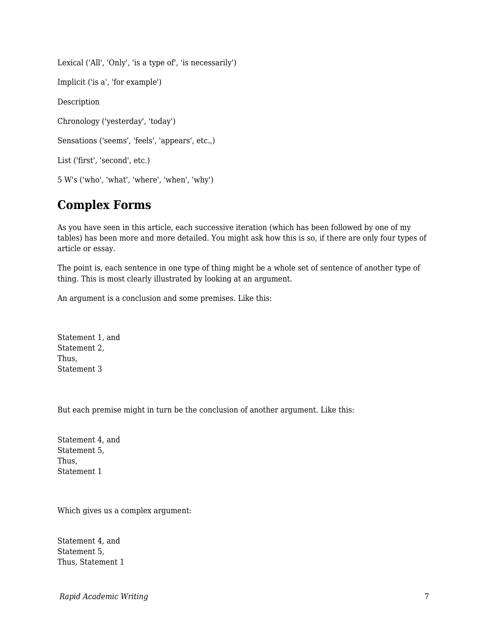Lexical ('All', 'Only', 'is a type of', 'is necessarily')

Implicit ('is a', 'for example')

Description

Chronology ('yesterday', 'today')

Sensations ('seems', 'feels', 'appears', etc.,)

List ('first', 'second', etc.)

5 W's ('who', 'what', 'where', 'when', 'why')

### **Complex Forms**

As you have seen in this article, each successive iteration (which has been followed by one of my tables) has been more and more detailed. You might ask how this is so, if there are only four types of article or essay.

The point is, each sentence in one type of thing might be a whole set of sentence of another type of thing. This is most clearly illustrated by looking at an argument.

An argument is a conclusion and some premises. Like this:

Statement 1, and Statement 2, Thus, Statement 3

But each premise might in turn be the conclusion of another argument. Like this:

Statement 4, and Statement 5, Thus, Statement 1

Which gives us a complex argument:

Statement 4, and Statement 5, Thus, Statement 1

*Rapid Academic Writing* 7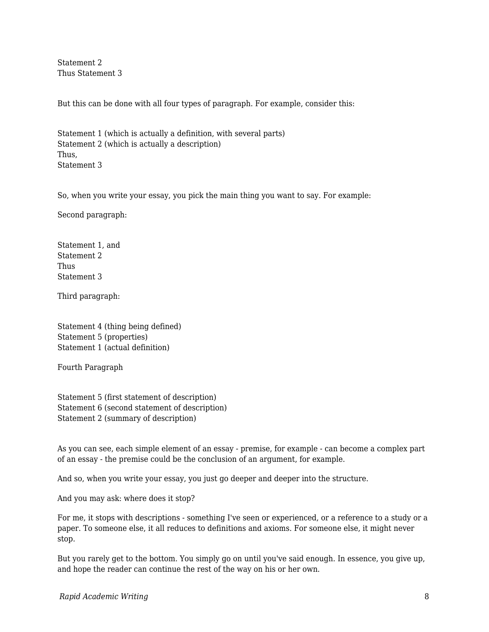Statement 2 Thus Statement 3

But this can be done with all four types of paragraph. For example, consider this:

Statement 1 (which is actually a definition, with several parts) Statement 2 (which is actually a description) Thus, Statement 3

So, when you write your essay, you pick the main thing you want to say. For example:

Second paragraph:

Statement 1, and Statement 2 Thus Statement 3

Third paragraph:

Statement 4 (thing being defined) Statement 5 (properties) Statement 1 (actual definition)

Fourth Paragraph

Statement 5 (first statement of description) Statement 6 (second statement of description) Statement 2 (summary of description)

As you can see, each simple element of an essay - premise, for example - can become a complex part of an essay - the premise could be the conclusion of an argument, for example.

And so, when you write your essay, you just go deeper and deeper into the structure.

And you may ask: where does it stop?

For me, it stops with descriptions - something I've seen or experienced, or a reference to a study or a paper. To someone else, it all reduces to definitions and axioms. For someone else, it might never stop.

But you rarely get to the bottom. You simply go on until you've said enough. In essence, you give up, and hope the reader can continue the rest of the way on his or her own.